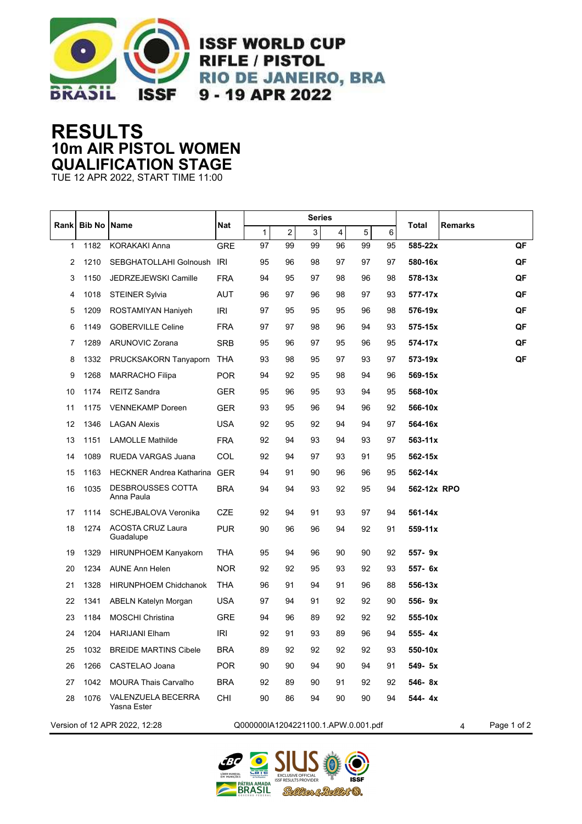

**ISSF WORLD CUP RIFLE / PISTOL RIO DE JANEIRO, BRA** 9 - 19 APR 2022

## **RESULTS 10m AIR PISTOL WOMEN QUALIFICATION STAGE**

TUE 12 APR 2022, START TIME 11:00

| <b>Rank</b>                   | <b>Bib No Name</b> |                                       | Nat                                 |    |    | <b>Series</b> |    |    |    |             |                  |    |
|-------------------------------|--------------------|---------------------------------------|-------------------------------------|----|----|---------------|----|----|----|-------------|------------------|----|
|                               |                    |                                       |                                     | 1  | 2  | 3             | 4  | 5  | 6  | Total       | <b>Remarks</b>   |    |
| 1                             | 1182               | <b>KORAKAKI Anna</b>                  | <b>GRE</b>                          | 97 | 99 | 99            | 96 | 99 | 95 | 585-22x     |                  | QF |
| 2                             | 1210               | SEBGHATOLLAHI Golnoush                | IRI                                 | 95 | 96 | 98            | 97 | 97 | 97 | 580-16x     |                  | QF |
| 3                             | 1150               | JEDRZEJEWSKI Camille                  | <b>FRA</b>                          | 94 | 95 | 97            | 98 | 96 | 98 | 578-13x     |                  | QF |
| 4                             | 1018               | <b>STEINER Sylvia</b>                 | <b>AUT</b>                          | 96 | 97 | 96            | 98 | 97 | 93 | 577-17x     |                  | QF |
| 5                             | 1209               | ROSTAMIYAN Haniyeh                    | <b>IRI</b>                          | 97 | 95 | 95            | 95 | 96 | 98 | 576-19x     |                  | QF |
| 6                             | 1149               | <b>GOBERVILLE Celine</b>              | <b>FRA</b>                          | 97 | 97 | 98            | 96 | 94 | 93 | 575-15x     |                  | QF |
| 7                             | 1289               | <b>ARUNOVIC Zorana</b>                | <b>SRB</b>                          | 95 | 96 | 97            | 95 | 96 | 95 | 574-17x     |                  | QF |
| 8                             | 1332               | PRUCKSAKORN Tanyaporn                 | THA                                 | 93 | 98 | 95            | 97 | 93 | 97 | 573-19x     |                  | QF |
| 9                             | 1268               | <b>MARRACHO Filipa</b>                | <b>POR</b>                          | 94 | 92 | 95            | 98 | 94 | 96 | 569-15x     |                  |    |
| 10                            | 1174               | <b>REITZ Sandra</b>                   | <b>GER</b>                          | 95 | 96 | 95            | 93 | 94 | 95 | 568-10x     |                  |    |
| 11                            | 1175               | <b>VENNEKAMP</b> Doreen               | <b>GER</b>                          | 93 | 95 | 96            | 94 | 96 | 92 | 566-10x     |                  |    |
| 12                            | 1346               | <b>LAGAN Alexis</b>                   | <b>USA</b>                          | 92 | 95 | 92            | 94 | 94 | 97 | 564-16x     |                  |    |
| 13                            | 1151               | <b>LAMOLLE Mathilde</b>               | <b>FRA</b>                          | 92 | 94 | 93            | 94 | 93 | 97 | $563 - 11x$ |                  |    |
| 14                            | 1089               | RUEDA VARGAS Juana                    | COL                                 | 92 | 94 | 97            | 93 | 91 | 95 | 562-15x     |                  |    |
| 15                            | 1163               | <b>HECKNER Andrea Katharina</b>       | <b>GER</b>                          | 94 | 91 | 90            | 96 | 96 | 95 | 562-14x     |                  |    |
| 16                            | 1035               | DESBROUSSES COTTA<br>Anna Paula       | <b>BRA</b>                          | 94 | 94 | 93            | 92 | 95 | 94 | 562-12x RPO |                  |    |
| 17                            | 1114               | SCHEJBALOVA Veronika                  | <b>CZE</b>                          | 92 | 94 | 91            | 93 | 97 | 94 | 561-14x     |                  |    |
| 18                            | 1274               | <b>ACOSTA CRUZ Laura</b><br>Guadalupe | <b>PUR</b>                          | 90 | 96 | 96            | 94 | 92 | 91 | 559-11x     |                  |    |
| 19                            | 1329               | <b>HIRUNPHOEM Kanyakorn</b>           | THA                                 | 95 | 94 | 96            | 90 | 90 | 92 | 557-9x      |                  |    |
| 20                            | 1234               | <b>AUNE Ann Helen</b>                 | <b>NOR</b>                          | 92 | 92 | 95            | 93 | 92 | 93 | 557- 6x     |                  |    |
| 21                            | 1328               | <b>HIRUNPHOEM Chidchanok</b>          | <b>THA</b>                          | 96 | 91 | 94            | 91 | 96 | 88 | 556-13x     |                  |    |
| 22                            | 1341               | ABELN Katelyn Morgan                  | <b>USA</b>                          | 97 | 94 | 91            | 92 | 92 | 90 | 556-9x      |                  |    |
| 23                            | 1184               | <b>MOSCHI Christina</b>               | <b>GRE</b>                          | 94 | 96 | 89            | 92 | 92 | 92 | 555-10x     |                  |    |
| 24                            | 1204               | <b>HARIJANI Elham</b>                 | <b>IRI</b>                          | 92 | 91 | 93            | 89 | 96 | 94 | 555-4x      |                  |    |
| 25                            | 1032               | <b>BREIDE MARTINS Cibele</b>          | BRA                                 | 89 | 92 | 92            | 92 | 92 | 93 | 550-10x     |                  |    |
| 26                            | 1266               | CASTELAO Joana                        | <b>POR</b>                          | 90 | 90 | 94            | 90 | 94 | 91 | 549- 5x     |                  |    |
| 27                            | 1042               | <b>MOURA Thais Carvalho</b>           | <b>BRA</b>                          | 92 | 89 | 90            | 91 | 92 | 92 | 546-8x      |                  |    |
| 28                            | 1076               | VALENZUELA BECERRA<br>Yasna Ester     | CHI                                 | 90 | 86 | 94            | 90 | 90 | 94 | 544-4x      |                  |    |
| Version of 12 APR 2022, 12:28 |                    |                                       | Q000000IA1204221100.1.APW.0.001.pdf |    |    |               |    |    |    |             | Page 1 of 2<br>4 |    |